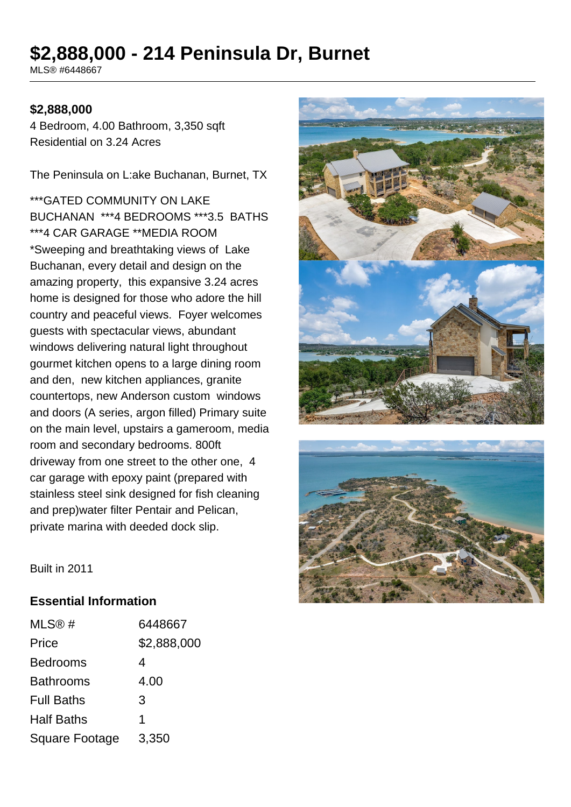# **\$2,888,000 - 214 Peninsula Dr, Burnet**

MLS® #6448667

### **\$2,888,000**

4 Bedroom, 4.00 Bathroom, 3,350 sqft Residential on 3.24 Acres

The Peninsula on L:ake Buchanan, Burnet, TX

\*\*\*GATED COMMUNITY ON LAKE BUCHANAN \*\*\*4 BEDROOMS \*\*\*3.5 BATHS \*\*\*4 CAR GARAGE \*\*MEDIA ROOM \*Sweeping and breathtaking views of Lake Buchanan, every detail and design on the amazing property, this expansive 3.24 acres home is designed for those who adore the hill country and peaceful views. Foyer welcomes guests with spectacular views, abundant windows delivering natural light throughout gourmet kitchen opens to a large dining room and den, new kitchen appliances, granite countertops, new Anderson custom windows and doors (A series, argon filled) Primary suite on the main level, upstairs a gameroom, media room and secondary bedrooms. 800ft driveway from one street to the other one, 4 car garage with epoxy paint (prepared with stainless steel sink designed for fish cleaning and prep)water filter Pentair and Pelican, private marina with deeded dock slip.





Built in 2011

#### **Essential Information**

| MLS@#                 | 6448667     |
|-----------------------|-------------|
| Price                 | \$2,888,000 |
| <b>Bedrooms</b>       | 4           |
| <b>Bathrooms</b>      | 4.00        |
| <b>Full Baths</b>     | 3           |
| <b>Half Baths</b>     | 1           |
| <b>Square Footage</b> | 3,350       |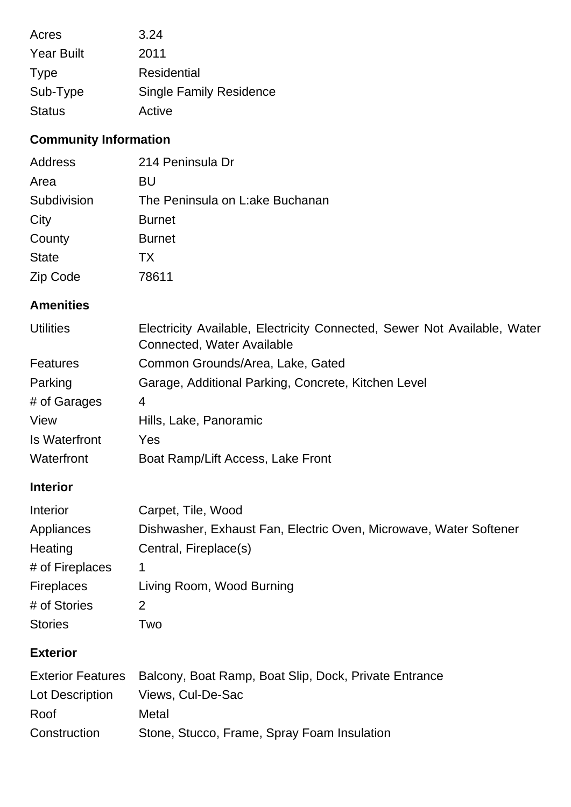| Acres             | 3.24                           |
|-------------------|--------------------------------|
| <b>Year Built</b> | 2011                           |
| <b>Type</b>       | Residential                    |
| Sub-Type          | <b>Single Family Residence</b> |
| <b>Status</b>     | Active                         |

## **Community Information**

| Address      | 214 Peninsula Dr                |
|--------------|---------------------------------|
| Area         | BU                              |
| Subdivision  | The Peninsula on L:ake Buchanan |
| City         | <b>Burnet</b>                   |
| County       | <b>Burnet</b>                   |
| <b>State</b> | TX.                             |
| Zip Code     | 78611                           |

### **Amenities**

| <b>Utilities</b>     | Electricity Available, Electricity Connected, Sewer Not Available, Water<br>Connected, Water Available |
|----------------------|--------------------------------------------------------------------------------------------------------|
| <b>Features</b>      | Common Grounds/Area, Lake, Gated                                                                       |
| Parking              | Garage, Additional Parking, Concrete, Kitchen Level                                                    |
| # of Garages         | 4                                                                                                      |
| View                 | Hills, Lake, Panoramic                                                                                 |
| <b>Is Waterfront</b> | Yes                                                                                                    |
| Waterfront           | Boat Ramp/Lift Access, Lake Front                                                                      |

### **Interior**

| Interior          | Carpet, Tile, Wood                                                |
|-------------------|-------------------------------------------------------------------|
| Appliances        | Dishwasher, Exhaust Fan, Electric Oven, Microwave, Water Softener |
| Heating           | Central, Fireplace(s)                                             |
| # of Fireplaces   |                                                                   |
| <b>Fireplaces</b> | Living Room, Wood Burning                                         |
| # of Stories      |                                                                   |
| <b>Stories</b>    | Two                                                               |

### **Exterior**

|                 | Exterior Features Balcony, Boat Ramp, Boat Slip, Dock, Private Entrance |
|-----------------|-------------------------------------------------------------------------|
| Lot Description | Views, Cul-De-Sac                                                       |
| Roof            | Metal                                                                   |
| Construction    | Stone, Stucco, Frame, Spray Foam Insulation                             |